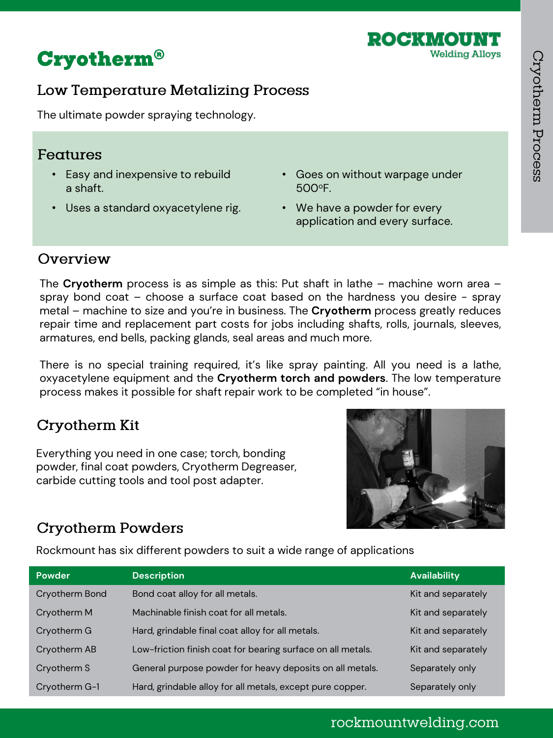

# **Cryotherm®**

### Low Temperature Metalizing Process

The ultimate powder spraying technology.

#### Features

- Easy and inexpensive to rebuild a shaft.
- Uses a standard oxyacetylene rig.
- Goes on without warpage under 500<sup>o</sup>F.
- We have a powder for every application and every surface.

### Overview

The **Cryotherm** process is as simple as this: Put shaft in lathe – machine worn area – spray bond coat – choose a surface coat based on the hardness you desire - spray metal – machine to size and you're in business. The **Cryotherm** process greatly reduces repair time and replacement part costs for jobs including shafts, rolls, journals, sleeves, armatures, end bells, packing glands, seal areas and much more.

There is no special training required, it's like spray painting. All you need is a lathe, oxyacetylene equipment and the **Cryotherm torch and powders**. The low temperature process makes it possible for shaft repair work to be completed "in house".

### **Cryotherm Kit**

Everything you need in one case; torch, bonding powder, final coat powders, Cryotherm Degreaser, carbide cutting tools and tool post adapter.



# **Cryotherm Powders**

Rockmount has six different powders to suit a wide range of applications

| <b>Powder</b>  | <b>Description</b>                                          | <b>Availability</b> |
|----------------|-------------------------------------------------------------|---------------------|
| Cryotherm Bond | Bond coat alloy for all metals.                             | Kit and separately  |
| Cryotherm M    | Machinable finish coat for all metals.                      | Kit and separately  |
| Cryotherm G    | Hard, grindable final coat alloy for all metals.            | Kit and separately  |
| Cryotherm AB   | Low-friction finish coat for bearing surface on all metals. | Kit and separately  |
| Cryotherm S    | General purpose powder for heavy deposits on all metals.    | Separately only     |
| Cryotherm G-1  | Hard, grindable alloy for all metals, except pure copper.   | Separately only     |

### rockmountwelding.com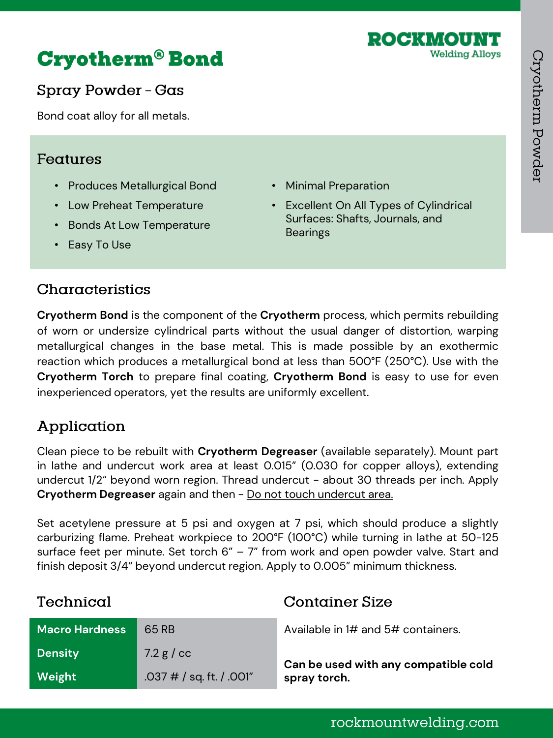

# **Cryotherm<sup>®</sup> Bond**

Spray Powder - Gas

Bond coat alloy for all metals.

#### Features

- Produces Metallurgical Bond
- Low Preheat Temperature
- Bonds At Low Temperature
- Easy To Use
- Minimal Preparation
- Excellent On All Types of Cylindrical Surfaces: Shafts, Journals, and **Bearings**

# Characteristics

**Cryotherm Bond** is the component of the **Cryotherm** process, which permits rebuilding of worn or undersize cylindrical parts without the usual danger of distortion, warping metallurgical changes in the base metal. This is made possible by an exothermic reaction which produces a metallurgical bond at less than 500°F (250°C). Use with the **Cryotherm Torch** to prepare final coating, **Cryotherm Bond** is easy to use for even inexperienced operators, yet the results are uniformly excellent.

# Application

Clean piece to be rebuilt with **Cryotherm Degreaser** (available separately). Mount part in lathe and undercut work area at least 0.015" (0.030 for copper alloys), extending undercut 1/2" beyond worn region. Thread undercut - about 30 threads per inch. Apply **Cryotherm Degreaser** again and then - Do not touch undercut area.

Set acetylene pressure at 5 psi and oxygen at 7 psi, which should produce a slightly carburizing flame. Preheat workpiece to 200°F (100°C) while turning in lathe at 50-125 surface feet per minute. Set torch  $6" - 7"$  from work and open powder valve. Start and finish deposit 3/4" beyond undercut region. Apply to 0.005" minimum thickness.

**Container Size** 

### Technical

| <b>Macro Hardness</b> | 65 RB                      | Available in 1# and 5# containers.   |
|-----------------------|----------------------------|--------------------------------------|
| <b>Density</b>        | 7.2 $g$ / $cc$             | Can be used with any compatible cold |
| Weight                | $.037$ # / sq. ft. / .001" | spray torch.                         |

### rockmountwelding.com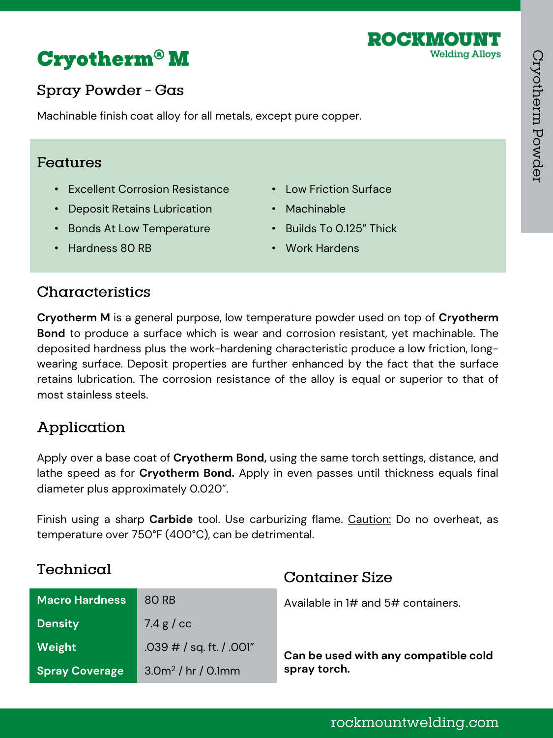

# **Cryotherm<sup>®</sup> M**

# Spray Powder - Gas

Machinable finish coat alloy for all metals, except pure copper.

#### Features

- Excellent Corrosion Resistance
- Deposit Retains Lubrication
- Bonds At Low Temperature
- Low Friction Surface
- Machinable
- Builds To 0.125" Thick

**Container Size** 

• Work Hardens

• Hardness 80 RB

### Characteristics

**Cryotherm M** is a general purpose, low temperature powder used on top of **Cryotherm Bond** to produce a surface which is wear and corrosion resistant, yet machinable. The deposited hardness plus the work-hardening characteristic produce a low friction, longwearing surface. Deposit properties are further enhanced by the fact that the surface retains lubrication. The corrosion resistance of the alloy is equal or superior to that of most stainless steels.

# Application

Apply over a base coat of **Cryotherm Bond,** using the same torch settings, distance, and lathe speed as for **Cryotherm Bond.** Apply in even passes until thickness equals final diameter plus approximately 0.020".

Finish using a sharp **Carbide** tool. Use carburizing flame. Caution: Do no overheat, as temperature over 750°F (400°C), can be detrimental.

# Technical

| <b>Macro Hardness</b> | 80 RB                       |                                      |
|-----------------------|-----------------------------|--------------------------------------|
|                       |                             | Available in 1# and 5# containers.   |
| <b>Density</b>        | 7.4 g / $cc$                |                                      |
| Weight                | .039 $\#$ / sq. ft. / .001" | Can be used with any compatible cold |
| <b>Spray Coverage</b> | $3.0m^2$ / hr / 0.1mm       | spray torch.                         |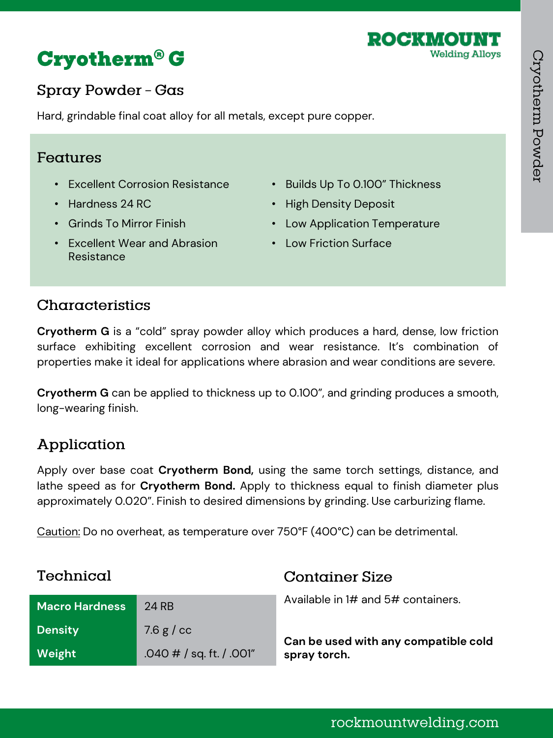



# Spray Powder - Gas

Hard, grindable final coat alloy for all metals, except pure copper.

#### Features

- Excellent Corrosion Resistance
- Hardness 24 RC
- Grinds To Mirror Finish
- Excellent Wear and Abrasion Resistance
- Builds Up To 0.100" Thickness
- High Density Deposit
- Low Application Temperature
- Low Friction Surface

#### Characteristics

**Cryotherm G** is a "cold" spray powder alloy which produces a hard, dense, low friction surface exhibiting excellent corrosion and wear resistance. It's combination of properties make it ideal for applications where abrasion and wear conditions are severe.

**Cryotherm G** can be applied to thickness up to 0.100", and grinding produces a smooth, long-wearing finish.

# Application

Apply over base coat **Cryotherm Bond,** using the same torch settings, distance, and lathe speed as for **Cryotherm Bond.** Apply to thickness equal to finish diameter plus approximately 0.020". Finish to desired dimensions by grinding. Use carburizing flame.

Caution: Do no overheat, as temperature over 750°F (400°C) can be detrimental.

| Technical             |                             | <b>Container Size</b>                |
|-----------------------|-----------------------------|--------------------------------------|
| <b>Macro Hardness</b> | <b>24 RB</b>                | Available in 1# and 5# containers.   |
| <b>Density</b>        | 7.6 $g$ / $cc$              | Can be used with any compatible cold |
| Weight                | .040 $\#$ / sq. ft. / .001" | spray torch.                         |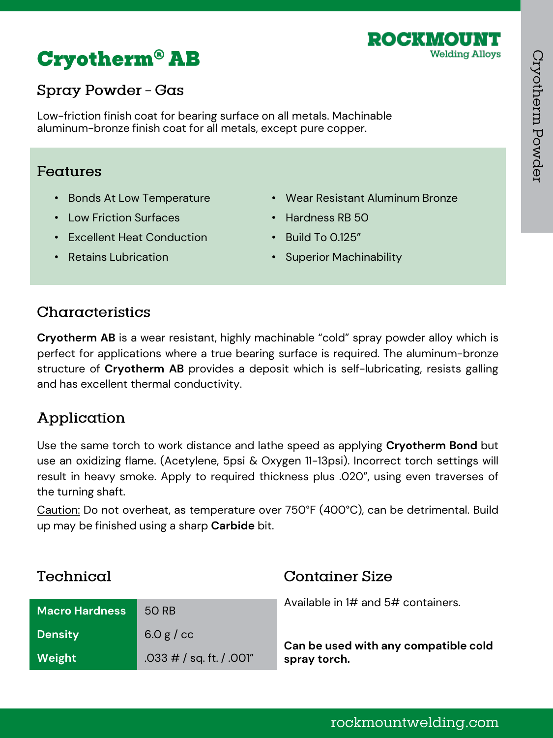

# **Cryotherm<sup>®</sup> AB**

# Spray Powder - Gas

Low-friction finish coat for bearing surface on all metals. Machinable aluminum-bronze finish coat for all metals, except pure copper.

#### Features

- Bonds At Low Temperature
- Low Friction Surfaces
- Excellent Heat Conduction
- Wear Resistant Aluminum Bronze
- Hardness RB 50
- Build To 0.125"

• Retains Lubrication

• Superior Machinability

### Characteristics

**Cryotherm AB** is a wear resistant, highly machinable "cold" spray powder alloy which is perfect for applications where a true bearing surface is required. The aluminum-bronze structure of **Cryotherm AB** provides a deposit which is self-lubricating, resists galling and has excellent thermal conductivity.

# Application

Use the same torch to work distance and lathe speed as applying **Cryotherm Bond** but use an oxidizing flame. (Acetylene, 5psi & Oxygen 11-13psi). Incorrect torch settings will result in heavy smoke. Apply to required thickness plus .020", using even traverses of the turning shaft.

Caution: Do not overheat, as temperature over 750°F (400°C), can be detrimental. Build up may be finished using a sharp **Carbide** bit.

| Technical             |                            | <b>Container Size</b>                |
|-----------------------|----------------------------|--------------------------------------|
| <b>Macro Hardness</b> | 50 RB                      | Available in 1# and 5# containers.   |
| <b>Density</b>        | $6.0 g$ / cc               | Can be used with any compatible cold |
| Weight                | $.033$ # / sq. ft. / .001" | spray torch.                         |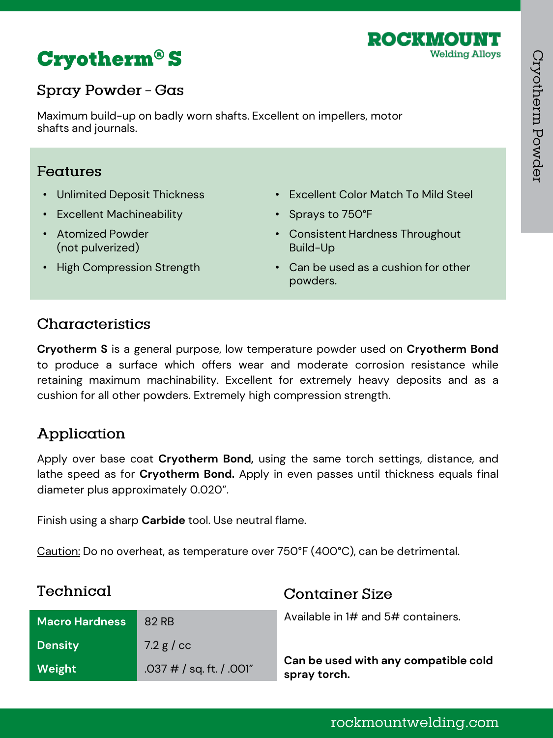

# **Cryotherm<sup>®</sup>S**

# Spray Powder - Gas

Maximum build-up on badly worn shafts. Excellent on impellers, motor shafts and journals.

#### Features

• Unlimited Deposit Thickness

• High Compression Strength

- Excellent Machineability
- Atomized Powder (not pulverized)
- Excellent Color Match To Mild Steel
- Sprays to 750°F
- Consistent Hardness Throughout Build-Up
- Can be used as a cushion for other powders.

#### Characteristics

**Cryotherm S** is a general purpose, low temperature powder used on **Cryotherm Bond** to produce a surface which offers wear and moderate corrosion resistance while retaining maximum machinability. Excellent for extremely heavy deposits and as a cushion for all other powders. Extremely high compression strength.

# Application

Apply over base coat **Cryotherm Bond,** using the same torch settings, distance, and lathe speed as for **Cryotherm Bond.** Apply in even passes until thickness equals final diameter plus approximately 0.020".

Finish using a sharp **Carbide** tool. Use neutral flame.

Caution: Do no overheat, as temperature over 750°F (400°C), can be detrimental.

| Technical             |                            | <b>Container Size</b>                                |
|-----------------------|----------------------------|------------------------------------------------------|
| <b>Macro Hardness</b> | 82 RB                      | Available in 1# and $5#$ containers.                 |
| <b>Density</b>        | 7.2 g / cc                 |                                                      |
| Weight                | $.037$ # / sq. ft. / .001" | Can be used with any compatible cold<br>spray torch. |